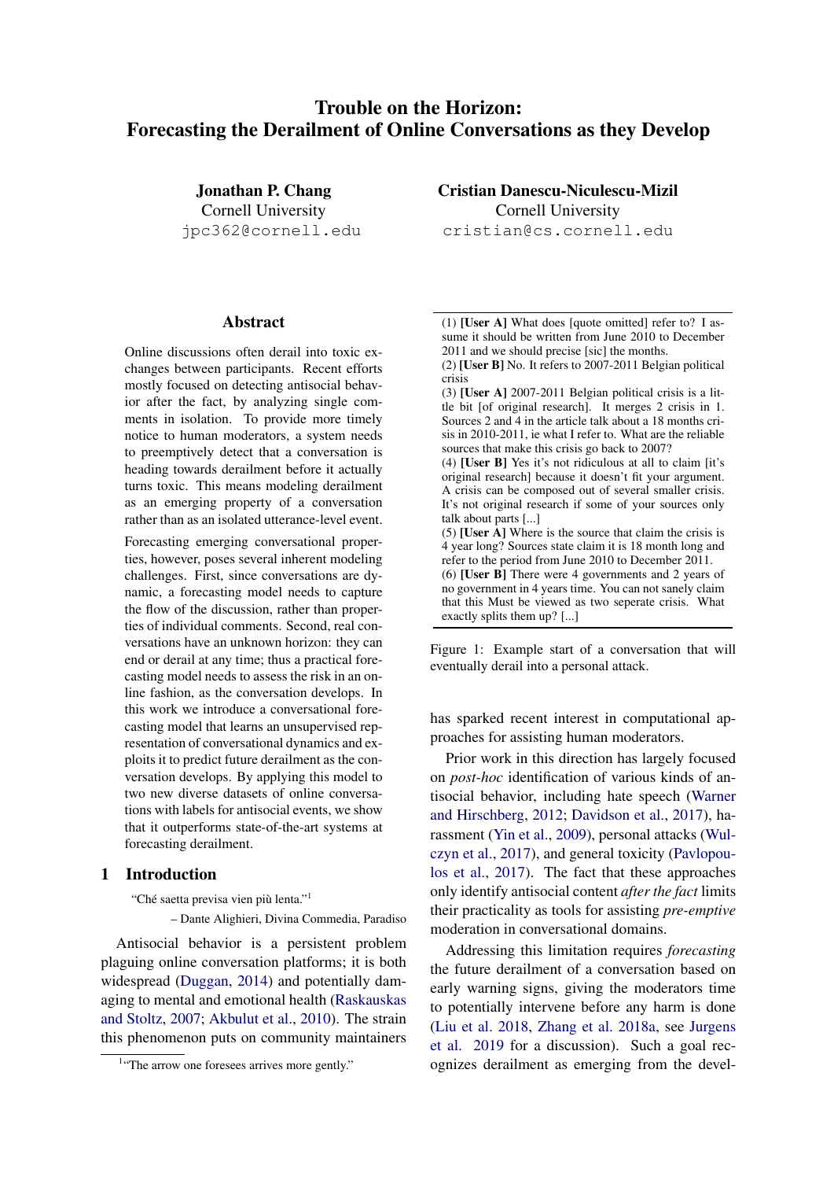# Trouble on the Horizon: Forecasting the Derailment of Online Conversations as they Develop

Jonathan P. Chang Cornell University jpc362@cornell.edu

## Abstract

Online discussions often derail into toxic exchanges between participants. Recent efforts mostly focused on detecting antisocial behavior after the fact, by analyzing single comments in isolation. To provide more timely notice to human moderators, a system needs to preemptively detect that a conversation is heading towards derailment before it actually turns toxic. This means modeling derailment as an emerging property of a conversation rather than as an isolated utterance-level event.

Forecasting emerging conversational properties, however, poses several inherent modeling challenges. First, since conversations are dynamic, a forecasting model needs to capture the flow of the discussion, rather than properties of individual comments. Second, real conversations have an unknown horizon: they can end or derail at any time; thus a practical forecasting model needs to assess the risk in an online fashion, as the conversation develops. In this work we introduce a conversational forecasting model that learns an unsupervised representation of conversational dynamics and exploits it to predict future derailment as the conversation develops. By applying this model to two new diverse datasets of online conversations with labels for antisocial events, we show that it outperforms state-of-the-art systems at forecasting derailment.

#### <span id="page-0-2"></span>1 Introduction

"Ché saetta previsa vien più lenta."<sup>[1](#page-0-0)</sup>

– Dante Alighieri, Divina Commedia, Paradiso

Antisocial behavior is a persistent problem plaguing online conversation platforms; it is both widespread [\(Duggan,](#page-9-0) [2014\)](#page-9-0) and potentially damaging to mental and emotional health [\(Raskauskas](#page-10-0) [and Stoltz,](#page-10-0) [2007;](#page-10-0) [Akbulut et al.,](#page-8-0) [2010\)](#page-8-0). The strain this phenomenon puts on community maintainers Cristian Danescu-Niculescu-Mizil Cornell University cristian@cs.cornell.edu

<span id="page-0-1"></span>(1) [User A] What does [quote omitted] refer to? I assume it should be written from June 2010 to December 2011 and we should precise [sic] the months.

(2) [User B] No. It refers to 2007-2011 Belgian political crisis

(3) [User A] 2007-2011 Belgian political crisis is a little bit [of original research]. It merges 2 crisis in 1. Sources 2 and 4 in the article talk about a 18 months crisis in 2010-2011, ie what I refer to. What are the reliable sources that make this crisis go back to 2007?

(4) [User B] Yes it's not ridiculous at all to claim [it's original research] because it doesn't fit your argument. A crisis can be composed out of several smaller crisis. It's not original research if some of your sources only talk about parts [...]

(5) [User  $\hat{A}$ ] Where is the source that claim the crisis is 4 year long? Sources state claim it is 18 month long and refer to the period from June 2010 to December 2011.

(6) [User B] There were 4 governments and 2 years of no government in 4 years time. You can not sanely claim that this Must be viewed as two seperate crisis. What exactly splits them up? [...]

Figure 1: Example start of a conversation that will eventually derail into a personal attack.

has sparked recent interest in computational approaches for assisting human moderators.

Prior work in this direction has largely focused on *post-hoc* identification of various kinds of antisocial behavior, including hate speech [\(Warner](#page-11-0) [and Hirschberg,](#page-11-0) [2012;](#page-11-0) [Davidson et al.,](#page-9-1) [2017\)](#page-9-1), harassment [\(Yin et al.,](#page-11-1) [2009\)](#page-11-1), personal attacks [\(Wul](#page-11-2)[czyn et al.,](#page-11-2) [2017\)](#page-11-2), and general toxicity [\(Pavlopou](#page-10-1)[los et al.,](#page-10-1) [2017\)](#page-10-1). The fact that these approaches only identify antisocial content *after the fact* limits their practicality as tools for assisting *pre-emptive* moderation in conversational domains.

Addressing this limitation requires *forecasting* the future derailment of a conversation based on early warning signs, giving the moderators time to potentially intervene before any harm is done [\(Liu et al.](#page-10-2) [2018,](#page-10-2) [Zhang et al.](#page-11-3) [2018a,](#page-11-3) see [Jurgens](#page-9-2) [et al.](#page-9-2) [2019](#page-9-2) for a discussion). Such a goal recognizes derailment as emerging from the devel-

<span id="page-0-0"></span><sup>&</sup>lt;sup>1</sup>"The arrow one foresees arrives more gently."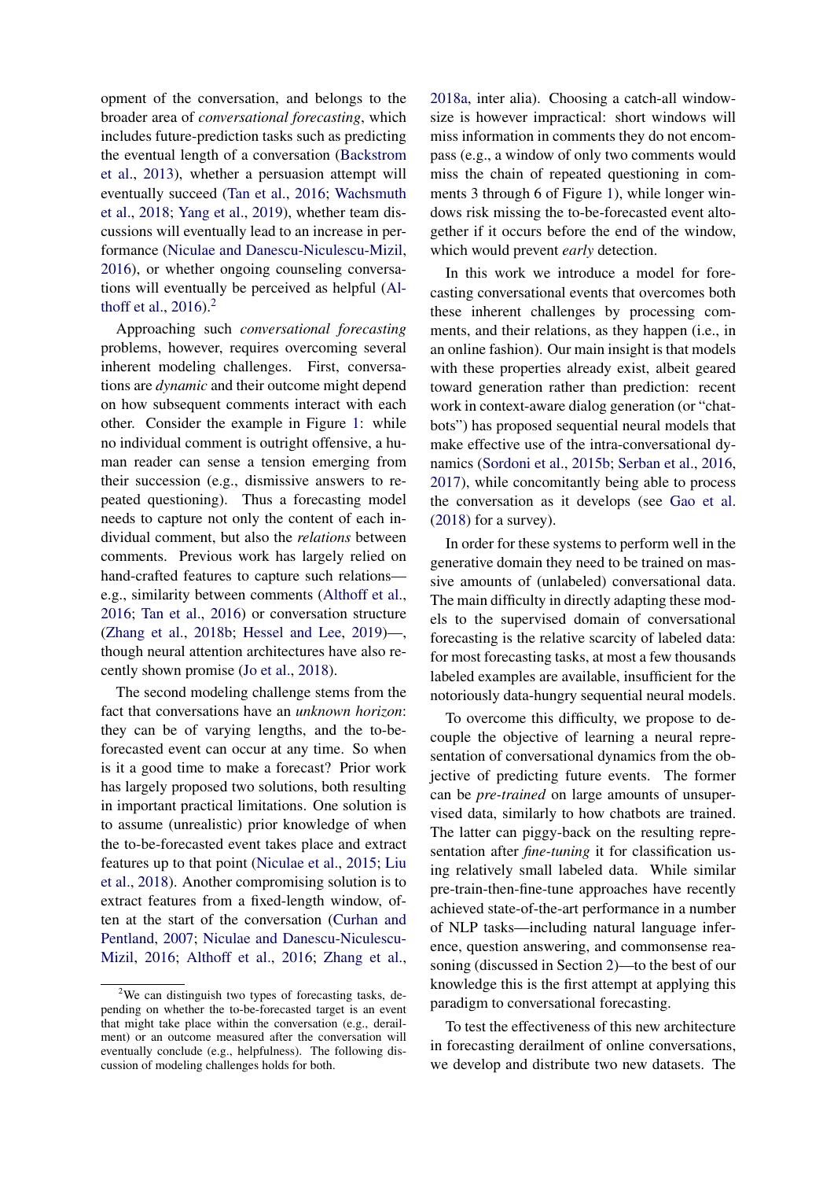opment of the conversation, and belongs to the broader area of *conversational forecasting*, which includes future-prediction tasks such as predicting the eventual length of a conversation [\(Backstrom](#page-9-3) [et al.,](#page-9-3) [2013\)](#page-9-3), whether a persuasion attempt will eventually succeed [\(Tan et al.,](#page-10-3) [2016;](#page-10-3) [Wachsmuth](#page-11-4) [et al.,](#page-11-4) [2018;](#page-11-4) [Yang et al.,](#page-11-5) [2019\)](#page-11-5), whether team discussions will eventually lead to an increase in performance [\(Niculae and Danescu-Niculescu-Mizil,](#page-10-4) [2016\)](#page-10-4), or whether ongoing counseling conversations will eventually be perceived as helpful [\(Al](#page-9-4)[thoff et al.,](#page-9-4) [2016\)](#page-9-4).[2](#page-1-0)

Approaching such *conversational forecasting* problems, however, requires overcoming several inherent modeling challenges. First, conversations are *dynamic* and their outcome might depend on how subsequent comments interact with each other. Consider the example in Figure [1:](#page-0-1) while no individual comment is outright offensive, a human reader can sense a tension emerging from their succession (e.g., dismissive answers to repeated questioning). Thus a forecasting model needs to capture not only the content of each individual comment, but also the *relations* between comments. Previous work has largely relied on hand-crafted features to capture such relations e.g., similarity between comments [\(Althoff et al.,](#page-9-4) [2016;](#page-9-4) [Tan et al.,](#page-10-3) [2016\)](#page-10-3) or conversation structure [\(Zhang et al.,](#page-11-6) [2018b;](#page-11-6) [Hessel and Lee,](#page-9-5) [2019\)](#page-9-5)—, though neural attention architectures have also recently shown promise [\(Jo et al.,](#page-9-6) [2018\)](#page-9-6).

The second modeling challenge stems from the fact that conversations have an *unknown horizon*: they can be of varying lengths, and the to-beforecasted event can occur at any time. So when is it a good time to make a forecast? Prior work has largely proposed two solutions, both resulting in important practical limitations. One solution is to assume (unrealistic) prior knowledge of when the to-be-forecasted event takes place and extract features up to that point [\(Niculae et al.,](#page-10-5) [2015;](#page-10-5) [Liu](#page-10-2) [et al.,](#page-10-2) [2018\)](#page-10-2). Another compromising solution is to extract features from a fixed-length window, often at the start of the conversation [\(Curhan and](#page-9-7) [Pentland,](#page-9-7) [2007;](#page-9-7) [Niculae and Danescu-Niculescu-](#page-10-4)[Mizil,](#page-10-4) [2016;](#page-10-4) [Althoff et al.,](#page-9-4) [2016;](#page-9-4) [Zhang et al.,](#page-11-3) [2018a,](#page-11-3) inter alia). Choosing a catch-all windowsize is however impractical: short windows will miss information in comments they do not encompass (e.g., a window of only two comments would miss the chain of repeated questioning in comments 3 through 6 of Figure [1\)](#page-0-1), while longer windows risk missing the to-be-forecasted event altogether if it occurs before the end of the window, which would prevent *early* detection.

In this work we introduce a model for forecasting conversational events that overcomes both these inherent challenges by processing comments, and their relations, as they happen (i.e., in an online fashion). Our main insight is that models with these properties already exist, albeit geared toward generation rather than prediction: recent work in context-aware dialog generation (or "chatbots") has proposed sequential neural models that make effective use of the intra-conversational dynamics [\(Sordoni et al.,](#page-10-6) [2015b;](#page-10-6) [Serban et al.,](#page-10-7) [2016,](#page-10-7) [2017\)](#page-10-8), while concomitantly being able to process the conversation as it develops (see [Gao et al.](#page-9-8) [\(2018\)](#page-9-8) for a survey).

In order for these systems to perform well in the generative domain they need to be trained on massive amounts of (unlabeled) conversational data. The main difficulty in directly adapting these models to the supervised domain of conversational forecasting is the relative scarcity of labeled data: for most forecasting tasks, at most a few thousands labeled examples are available, insufficient for the notoriously data-hungry sequential neural models.

To overcome this difficulty, we propose to decouple the objective of learning a neural representation of conversational dynamics from the objective of predicting future events. The former can be *pre-trained* on large amounts of unsupervised data, similarly to how chatbots are trained. The latter can piggy-back on the resulting representation after *fine-tuning* it for classification using relatively small labeled data. While similar pre-train-then-fine-tune approaches have recently achieved state-of-the-art performance in a number of NLP tasks—including natural language inference, question answering, and commonsense reasoning (discussed in Section [2\)](#page-2-0)—to the best of our knowledge this is the first attempt at applying this paradigm to conversational forecasting.

To test the effectiveness of this new architecture in forecasting derailment of online conversations, we develop and distribute two new datasets. The

<span id="page-1-0"></span> $2$ We can distinguish two types of forecasting tasks, depending on whether the to-be-forecasted target is an event that might take place within the conversation (e.g., derailment) or an outcome measured after the conversation will eventually conclude (e.g., helpfulness). The following discussion of modeling challenges holds for both.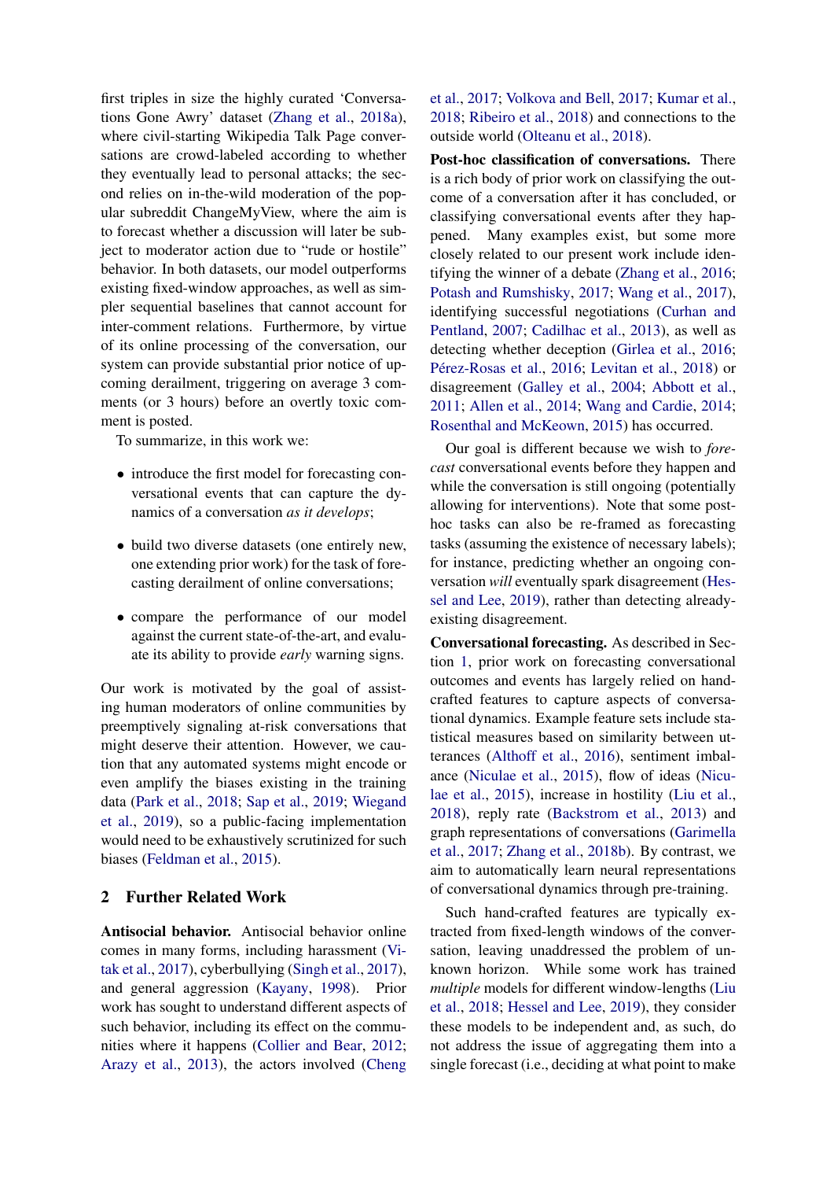first triples in size the highly curated 'Conversations Gone Awry' dataset [\(Zhang et al.,](#page-11-3) [2018a\)](#page-11-3), where civil-starting Wikipedia Talk Page conversations are crowd-labeled according to whether they eventually lead to personal attacks; the second relies on in-the-wild moderation of the popular subreddit ChangeMyView, where the aim is to forecast whether a discussion will later be subject to moderator action due to "rude or hostile" behavior. In both datasets, our model outperforms existing fixed-window approaches, as well as simpler sequential baselines that cannot account for inter-comment relations. Furthermore, by virtue of its online processing of the conversation, our system can provide substantial prior notice of upcoming derailment, triggering on average 3 comments (or 3 hours) before an overtly toxic comment is posted.

To summarize, in this work we:

- introduce the first model for forecasting conversational events that can capture the dynamics of a conversation *as it develops*;
- build two diverse datasets (one entirely new, one extending prior work) for the task of forecasting derailment of online conversations;
- compare the performance of our model against the current state-of-the-art, and evaluate its ability to provide *early* warning signs.

Our work is motivated by the goal of assisting human moderators of online communities by preemptively signaling at-risk conversations that might deserve their attention. However, we caution that any automated systems might encode or even amplify the biases existing in the training data [\(Park et al.,](#page-10-9) [2018;](#page-10-9) [Sap et al.,](#page-10-10) [2019;](#page-10-10) [Wiegand](#page-11-7) [et al.,](#page-11-7) [2019\)](#page-11-7), so a public-facing implementation would need to be exhaustively scrutinized for such biases [\(Feldman et al.,](#page-9-9) [2015\)](#page-9-9).

# <span id="page-2-0"></span>2 Further Related Work

Antisocial behavior. Antisocial behavior online comes in many forms, including harassment [\(Vi](#page-10-11)[tak et al.,](#page-10-11) [2017\)](#page-10-11), cyberbullying [\(Singh et al.,](#page-10-12) [2017\)](#page-10-12), and general aggression [\(Kayany,](#page-9-10) [1998\)](#page-9-10). Prior work has sought to understand different aspects of such behavior, including its effect on the communities where it happens [\(Collier and Bear,](#page-9-11) [2012;](#page-9-11) [Arazy et al.,](#page-9-12) [2013\)](#page-9-12), the actors involved [\(Cheng](#page-9-13) [et al.,](#page-9-13) [2017;](#page-9-13) [Volkova and Bell,](#page-10-13) [2017;](#page-10-13) [Kumar et al.,](#page-9-14) [2018;](#page-9-14) [Ribeiro et al.,](#page-10-14) [2018\)](#page-10-14) and connections to the outside world [\(Olteanu et al.,](#page-10-15) [2018\)](#page-10-15).

Post-hoc classification of conversations. There is a rich body of prior work on classifying the outcome of a conversation after it has concluded, or classifying conversational events after they happened. Many examples exist, but some more closely related to our present work include identifying the winner of a debate [\(Zhang et al.,](#page-11-8) [2016;](#page-11-8) [Potash and Rumshisky,](#page-10-16) [2017;](#page-10-16) [Wang et al.,](#page-11-9) [2017\)](#page-11-9), identifying successful negotiations [\(Curhan and](#page-9-7) [Pentland,](#page-9-7) [2007;](#page-9-7) [Cadilhac et al.,](#page-9-15) [2013\)](#page-9-15), as well as detecting whether deception [\(Girlea et al.,](#page-9-16) [2016;](#page-9-16) Pérez-Rosas et al., [2016;](#page-10-17) [Levitan et al.,](#page-9-17) [2018\)](#page-9-17) or disagreement [\(Galley et al.,](#page-9-18) [2004;](#page-9-18) [Abbott et al.,](#page-8-1) [2011;](#page-8-1) [Allen et al.,](#page-9-19) [2014;](#page-9-19) [Wang and Cardie,](#page-11-10) [2014;](#page-11-10) [Rosenthal and McKeown,](#page-10-18) [2015\)](#page-10-18) has occurred.

Our goal is different because we wish to *forecast* conversational events before they happen and while the conversation is still ongoing (potentially allowing for interventions). Note that some posthoc tasks can also be re-framed as forecasting tasks (assuming the existence of necessary labels); for instance, predicting whether an ongoing conversation *will* eventually spark disagreement [\(Hes](#page-9-5)[sel and Lee,](#page-9-5) [2019\)](#page-9-5), rather than detecting alreadyexisting disagreement.

Conversational forecasting. As described in Section [1,](#page-0-2) prior work on forecasting conversational outcomes and events has largely relied on handcrafted features to capture aspects of conversational dynamics. Example feature sets include statistical measures based on similarity between utterances [\(Althoff et al.,](#page-9-4) [2016\)](#page-9-4), sentiment imbalance [\(Niculae et al.,](#page-10-5) [2015\)](#page-10-5), flow of ideas [\(Nicu](#page-10-5)[lae et al.,](#page-10-5) [2015\)](#page-10-5), increase in hostility [\(Liu et al.,](#page-10-2) [2018\)](#page-10-2), reply rate [\(Backstrom et al.,](#page-9-3) [2013\)](#page-9-3) and graph representations of conversations [\(Garimella](#page-9-20) [et al.,](#page-9-20) [2017;](#page-9-20) [Zhang et al.,](#page-11-6) [2018b\)](#page-11-6). By contrast, we aim to automatically learn neural representations of conversational dynamics through pre-training.

Such hand-crafted features are typically extracted from fixed-length windows of the conversation, leaving unaddressed the problem of unknown horizon. While some work has trained *multiple* models for different window-lengths [\(Liu](#page-10-2) [et al.,](#page-10-2) [2018;](#page-10-2) [Hessel and Lee,](#page-9-5) [2019\)](#page-9-5), they consider these models to be independent and, as such, do not address the issue of aggregating them into a single forecast (i.e., deciding at what point to make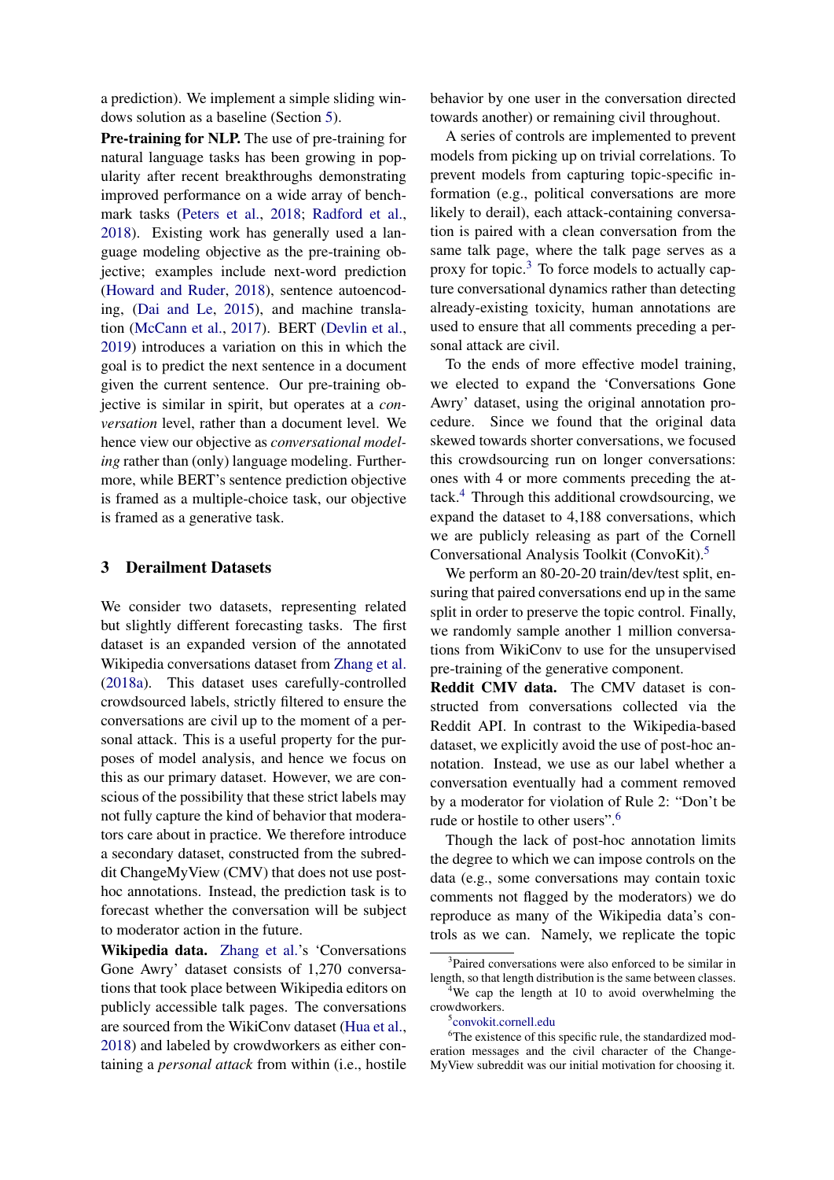a prediction). We implement a simple sliding windows solution as a baseline (Section [5\)](#page-5-0).

Pre-training for NLP. The use of pre-training for natural language tasks has been growing in popularity after recent breakthroughs demonstrating improved performance on a wide array of benchmark tasks [\(Peters et al.,](#page-10-19) [2018;](#page-10-19) [Radford et al.,](#page-10-20) [2018\)](#page-10-20). Existing work has generally used a language modeling objective as the pre-training objective; examples include next-word prediction [\(Howard and Ruder,](#page-9-21) [2018\)](#page-9-21), sentence autoencoding, [\(Dai and Le,](#page-9-22) [2015\)](#page-9-22), and machine translation [\(McCann et al.,](#page-10-21) [2017\)](#page-10-21). BERT [\(Devlin et al.,](#page-9-23) [2019\)](#page-9-23) introduces a variation on this in which the goal is to predict the next sentence in a document given the current sentence. Our pre-training objective is similar in spirit, but operates at a *conversation* level, rather than a document level. We hence view our objective as *conversational modeling* rather than (only) language modeling. Furthermore, while BERT's sentence prediction objective is framed as a multiple-choice task, our objective is framed as a generative task.

## <span id="page-3-4"></span>3 Derailment Datasets

We consider two datasets, representing related but slightly different forecasting tasks. The first dataset is an expanded version of the annotated Wikipedia conversations dataset from [Zhang et al.](#page-11-3) [\(2018a\)](#page-11-3). This dataset uses carefully-controlled crowdsourced labels, strictly filtered to ensure the conversations are civil up to the moment of a personal attack. This is a useful property for the purposes of model analysis, and hence we focus on this as our primary dataset. However, we are conscious of the possibility that these strict labels may not fully capture the kind of behavior that moderators care about in practice. We therefore introduce a secondary dataset, constructed from the subreddit ChangeMyView (CMV) that does not use posthoc annotations. Instead, the prediction task is to forecast whether the conversation will be subject to moderator action in the future.

Wikipedia data. [Zhang et al.'](#page-11-3)s 'Conversations Gone Awry' dataset consists of 1,270 conversations that took place between Wikipedia editors on publicly accessible talk pages. The conversations are sourced from the WikiConv dataset [\(Hua et al.,](#page-9-24) [2018\)](#page-9-24) and labeled by crowdworkers as either containing a *personal attack* from within (i.e., hostile behavior by one user in the conversation directed towards another) or remaining civil throughout.

A series of controls are implemented to prevent models from picking up on trivial correlations. To prevent models from capturing topic-specific information (e.g., political conversations are more likely to derail), each attack-containing conversation is paired with a clean conversation from the same talk page, where the talk page serves as a proxy for topic. $3$  To force models to actually capture conversational dynamics rather than detecting already-existing toxicity, human annotations are used to ensure that all comments preceding a personal attack are civil.

To the ends of more effective model training, we elected to expand the 'Conversations Gone Awry' dataset, using the original annotation procedure. Since we found that the original data skewed towards shorter conversations, we focused this crowdsourcing run on longer conversations: ones with 4 or more comments preceding the attack.[4](#page-3-1) Through this additional crowdsourcing, we expand the dataset to 4,188 conversations, which we are publicly releasing as part of the Cornell Conversational Analysis Toolkit (ConvoKit).[5](#page-3-2)

We perform an 80-20-20 train/dev/test split, ensuring that paired conversations end up in the same split in order to preserve the topic control. Finally, we randomly sample another 1 million conversations from WikiConv to use for the unsupervised pre-training of the generative component.

Reddit CMV data. The CMV dataset is constructed from conversations collected via the Reddit API. In contrast to the Wikipedia-based dataset, we explicitly avoid the use of post-hoc annotation. Instead, we use as our label whether a conversation eventually had a comment removed by a moderator for violation of Rule 2: "Don't be rude or hostile to other users".[6](#page-3-3)

Though the lack of post-hoc annotation limits the degree to which we can impose controls on the data (e.g., some conversations may contain toxic comments not flagged by the moderators) we do reproduce as many of the Wikipedia data's controls as we can. Namely, we replicate the topic

<span id="page-3-0"></span><sup>&</sup>lt;sup>3</sup>Paired conversations were also enforced to be similar in length, so that length distribution is the same between classes.

<span id="page-3-1"></span><sup>&</sup>lt;sup>4</sup>We cap the length at 10 to avoid overwhelming the crowdworkers.

<span id="page-3-3"></span><span id="page-3-2"></span><sup>5</sup> [convokit.cornell.edu](http://convokit.cornell.edu)

<sup>&</sup>lt;sup>6</sup>The existence of this specific rule, the standardized moderation messages and the civil character of the Change-MyView subreddit was our initial motivation for choosing it.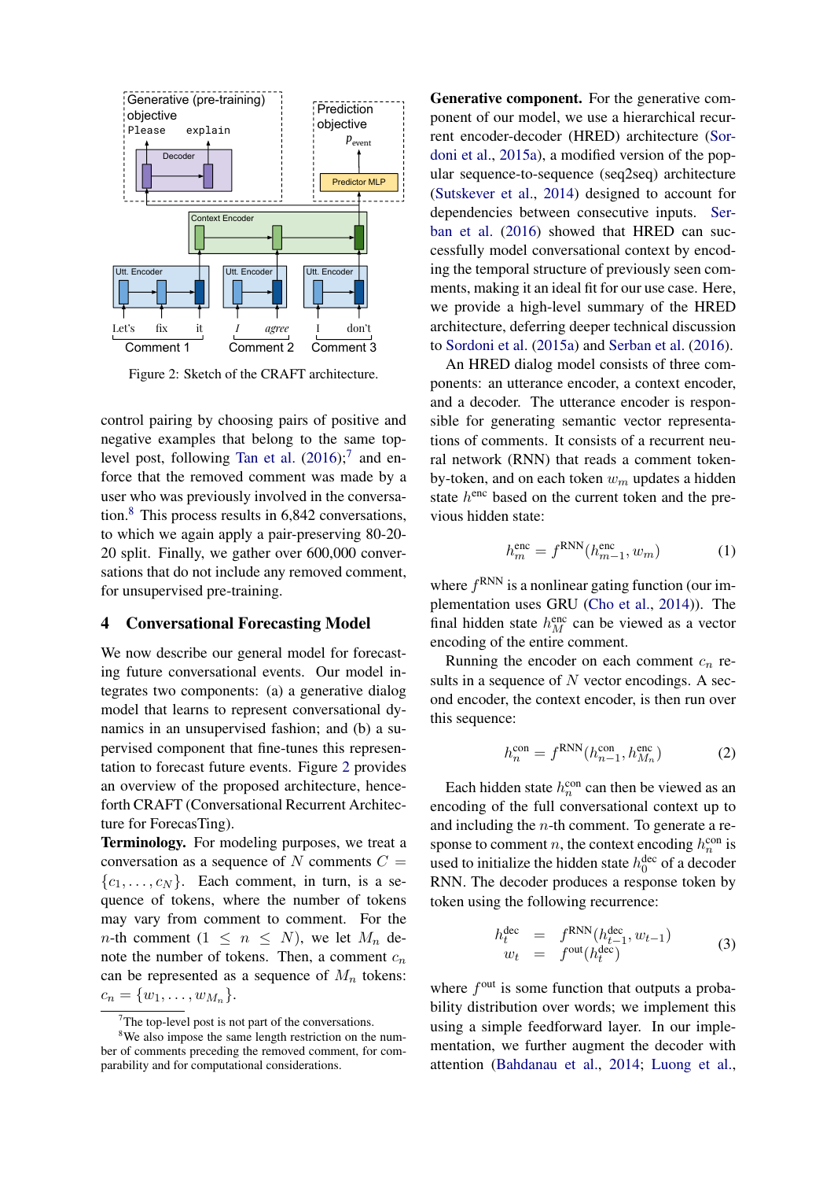<span id="page-4-2"></span>

Figure 2: Sketch of the CRAFT architecture.

control pairing by choosing pairs of positive and negative examples that belong to the same top-level post, following [Tan et al.](#page-10-3)  $(2016)$ ;<sup>[7](#page-4-0)</sup> and enforce that the removed comment was made by a user who was previously involved in the conversation.[8](#page-4-1) This process results in 6,842 conversations, to which we again apply a pair-preserving 80-20- 20 split. Finally, we gather over 600,000 conversations that do not include any removed comment, for unsupervised pre-training.

#### 4 Conversational Forecasting Model

We now describe our general model for forecasting future conversational events. Our model integrates two components: (a) a generative dialog model that learns to represent conversational dynamics in an unsupervised fashion; and (b) a supervised component that fine-tunes this representation to forecast future events. Figure [2](#page-4-2) provides an overview of the proposed architecture, henceforth CRAFT (Conversational Recurrent Architecture for ForecasTing).

Terminology. For modeling purposes, we treat a conversation as a sequence of N comments  $C =$  ${c_1, \ldots, c_N}$ . Each comment, in turn, is a sequence of tokens, where the number of tokens may vary from comment to comment. For the *n*-th comment  $(1 \leq n \leq N)$ , we let  $M_n$  denote the number of tokens. Then, a comment  $c_n$ can be represented as a sequence of  $M_n$  tokens:  $c_n = \{w_1, \ldots, w_{M_n}\}.$ 

Generative component. For the generative component of our model, we use a hierarchical recurrent encoder-decoder (HRED) architecture [\(Sor](#page-10-22)[doni et al.,](#page-10-22) [2015a\)](#page-10-22), a modified version of the popular sequence-to-sequence (seq2seq) architecture [\(Sutskever et al.,](#page-10-23) [2014\)](#page-10-23) designed to account for dependencies between consecutive inputs. [Ser](#page-10-7)[ban et al.](#page-10-7) [\(2016\)](#page-10-7) showed that HRED can successfully model conversational context by encoding the temporal structure of previously seen comments, making it an ideal fit for our use case. Here, we provide a high-level summary of the HRED architecture, deferring deeper technical discussion to [Sordoni et al.](#page-10-22) [\(2015a\)](#page-10-22) and [Serban et al.](#page-10-7) [\(2016\)](#page-10-7).

An HRED dialog model consists of three components: an utterance encoder, a context encoder, and a decoder. The utterance encoder is responsible for generating semantic vector representations of comments. It consists of a recurrent neural network (RNN) that reads a comment tokenby-token, and on each token  $w_m$  updates a hidden state  $h^{\text{enc}}$  based on the current token and the previous hidden state:

$$
h_m^{\text{enc}} = f^{\text{RNN}}(h_{m-1}^{\text{enc}}, w_m) \tag{1}
$$

where  $f^{RNN}$  is a nonlinear gating function (our implementation uses GRU [\(Cho et al.,](#page-9-25) [2014\)](#page-9-25)). The final hidden state  $h_M^{\text{enc}}$  can be viewed as a vector encoding of the entire comment.

Running the encoder on each comment  $c_n$  results in a sequence of  $N$  vector encodings. A second encoder, the context encoder, is then run over this sequence:

$$
h_n^{\text{con}} = f^{\text{RNN}}(h_{n-1}^{\text{con}}, h_{M_n}^{\text{enc}})
$$
 (2)

Each hidden state  $h_n^{\text{con}}$  can then be viewed as an encoding of the full conversational context up to and including the  $n$ -th comment. To generate a response to comment *n*, the context encoding  $h_n^{\text{con}}$  is used to initialize the hidden state  $h_0^{\text{dec}}$  of a decoder RNN. The decoder produces a response token by token using the following recurrence:

$$
h_t^{\text{dec}} = f^{\text{RNN}}(h_{t-1}^{\text{dec}}, w_{t-1})
$$
  
\n
$$
w_t = f^{\text{out}}(h_t^{\text{dec}})
$$
 (3)

where  $f^{\text{out}}$  is some function that outputs a probability distribution over words; we implement this using a simple feedforward layer. In our implementation, we further augment the decoder with attention [\(Bahdanau et al.,](#page-9-26) [2014;](#page-9-26) [Luong et al.,](#page-10-24)

<span id="page-4-1"></span><span id="page-4-0"></span> $7$ The top-level post is not part of the conversations.

<sup>&</sup>lt;sup>8</sup>We also impose the same length restriction on the number of comments preceding the removed comment, for comparability and for computational considerations.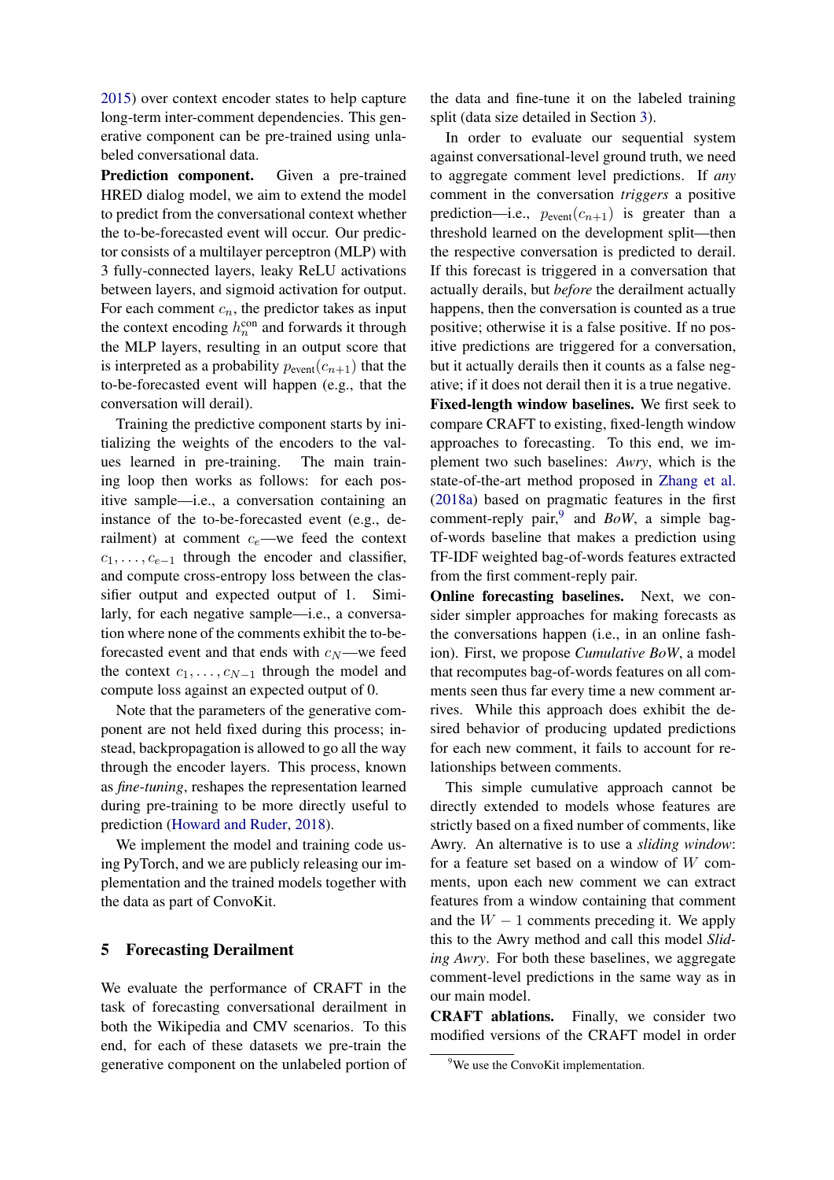[2015\)](#page-10-24) over context encoder states to help capture long-term inter-comment dependencies. This generative component can be pre-trained using unlabeled conversational data.

Prediction component. Given a pre-trained HRED dialog model, we aim to extend the model to predict from the conversational context whether the to-be-forecasted event will occur. Our predictor consists of a multilayer perceptron (MLP) with 3 fully-connected layers, leaky ReLU activations between layers, and sigmoid activation for output. For each comment  $c_n$ , the predictor takes as input the context encoding  $h_n^{\text{con}}$  and forwards it through the MLP layers, resulting in an output score that is interpreted as a probability  $p_{event}(c_{n+1})$  that the to-be-forecasted event will happen (e.g., that the conversation will derail).

Training the predictive component starts by initializing the weights of the encoders to the values learned in pre-training. The main training loop then works as follows: for each positive sample—i.e., a conversation containing an instance of the to-be-forecasted event (e.g., derailment) at comment  $c_e$ —we feed the context  $c_1, \ldots, c_{e-1}$  through the encoder and classifier, and compute cross-entropy loss between the classifier output and expected output of 1. Similarly, for each negative sample—i.e., a conversation where none of the comments exhibit the to-beforecasted event and that ends with  $c_N$ —we feed the context  $c_1, \ldots, c_{N-1}$  through the model and compute loss against an expected output of 0.

Note that the parameters of the generative component are not held fixed during this process; instead, backpropagation is allowed to go all the way through the encoder layers. This process, known as *fine-tuning*, reshapes the representation learned during pre-training to be more directly useful to prediction [\(Howard and Ruder,](#page-9-21) [2018\)](#page-9-21).

We implement the model and training code using PyTorch, and we are publicly releasing our implementation and the trained models together with the data as part of ConvoKit.

## <span id="page-5-0"></span>5 Forecasting Derailment

We evaluate the performance of CRAFT in the task of forecasting conversational derailment in both the Wikipedia and CMV scenarios. To this end, for each of these datasets we pre-train the generative component on the unlabeled portion of the data and fine-tune it on the labeled training split (data size detailed in Section [3\)](#page-3-4).

In order to evaluate our sequential system against conversational-level ground truth, we need to aggregate comment level predictions. If *any* comment in the conversation *triggers* a positive prediction—i.e.,  $p_{event}(c_{n+1})$  is greater than a threshold learned on the development split—then the respective conversation is predicted to derail. If this forecast is triggered in a conversation that actually derails, but *before* the derailment actually happens, then the conversation is counted as a true positive; otherwise it is a false positive. If no positive predictions are triggered for a conversation, but it actually derails then it counts as a false negative; if it does not derail then it is a true negative.

Fixed-length window baselines. We first seek to compare CRAFT to existing, fixed-length window approaches to forecasting. To this end, we implement two such baselines: *Awry*, which is the state-of-the-art method proposed in [Zhang et al.](#page-11-3) [\(2018a\)](#page-11-3) based on pragmatic features in the first comment-reply pair,<sup>[9](#page-5-1)</sup> and *BoW*, a simple bagof-words baseline that makes a prediction using TF-IDF weighted bag-of-words features extracted from the first comment-reply pair.

Online forecasting baselines. Next, we consider simpler approaches for making forecasts as the conversations happen (i.e., in an online fashion). First, we propose *Cumulative BoW*, a model that recomputes bag-of-words features on all comments seen thus far every time a new comment arrives. While this approach does exhibit the desired behavior of producing updated predictions for each new comment, it fails to account for relationships between comments.

This simple cumulative approach cannot be directly extended to models whose features are strictly based on a fixed number of comments, like Awry. An alternative is to use a *sliding window*: for a feature set based on a window of  $W$  comments, upon each new comment we can extract features from a window containing that comment and the  $W - 1$  comments preceding it. We apply this to the Awry method and call this model *Sliding Awry*. For both these baselines, we aggregate comment-level predictions in the same way as in our main model.

CRAFT ablations. Finally, we consider two modified versions of the CRAFT model in order

<span id="page-5-1"></span><sup>&</sup>lt;sup>9</sup>We use the ConvoKit implementation.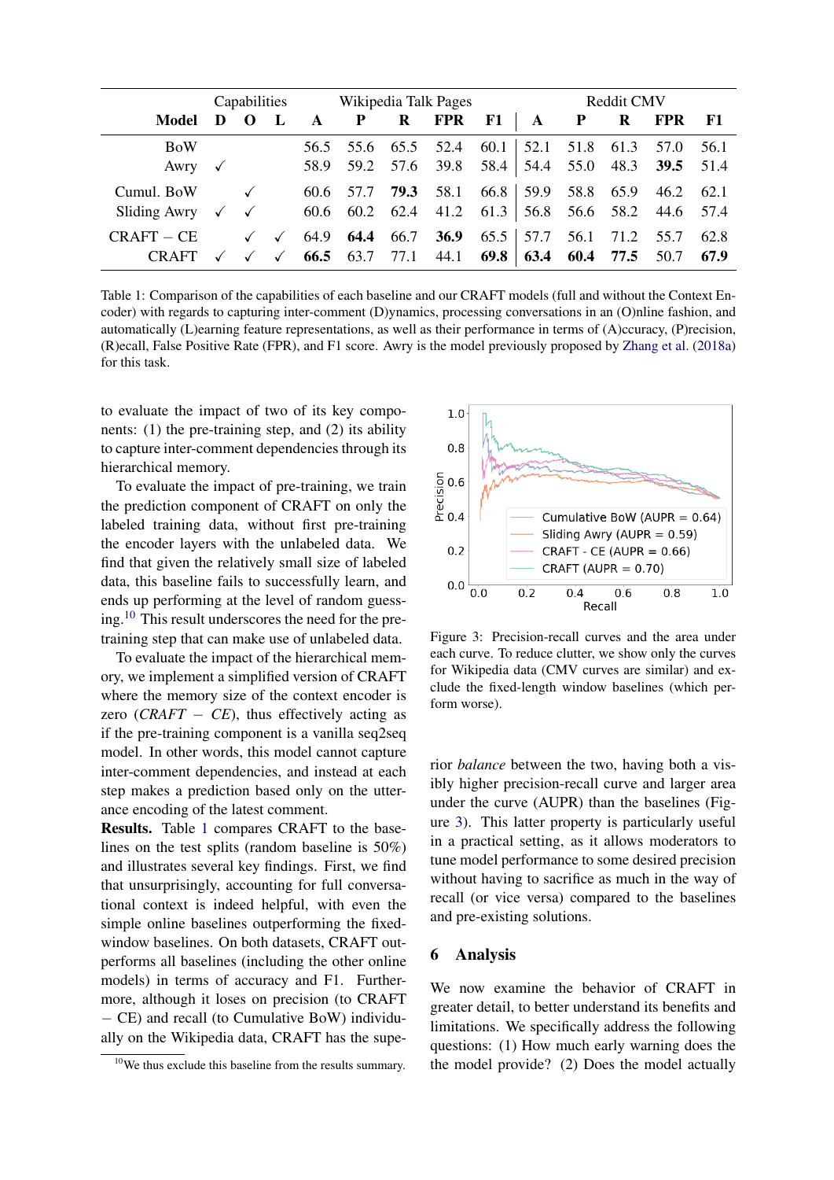<span id="page-6-1"></span>

|                                                      |              |              |                              | Capabilities Wikipedia Talk Pages |                        |      |                                  |              | <b>Reddit CMV</b> |                               |                        |                                                                          |              |
|------------------------------------------------------|--------------|--------------|------------------------------|-----------------------------------|------------------------|------|----------------------------------|--------------|-------------------|-------------------------------|------------------------|--------------------------------------------------------------------------|--------------|
| Model                                                | D            | $\mathbf{O}$ |                              | A                                 | P                      | R    | <b>FPR</b>                       | <b>F1</b>    | $\mathbf{A}$      | $\mathbf{P}$                  | R                      | <b>FPR</b>                                                               | - F1         |
| <b>BoW</b><br>Awry                                   | $\checkmark$ |              |                              |                                   | 56.5 55.6 65.5         |      | 52.4<br>58.9 59.2 57.6 39.8 58.4 | 60.1         |                   | 52.1 51.8 61.3                |                        | 57.0<br>54.4 55.0 48.3 <b>39.5</b> 51.4                                  | 56.1         |
| Cumul. BoW<br>Sliding Awry $\checkmark$ $\checkmark$ |              |              |                              |                                   | 60.6 57.7              | 79.3 | 58.1<br>60.6 60.2 62.4 41.2 61.3 | 66.8         |                   |                               | 59.9 58.8 65.9         | 46.2<br>$\begin{bmatrix} 56.8 & 56.6 & 58.2 & 44.6 & 57.4 \end{bmatrix}$ | 62.1         |
| $CRAFT - CE$<br><b>CRAFT</b>                         |              | $\checkmark$ | $\checkmark$<br>$\checkmark$ |                                   | 64.9 64.4<br>66.5 63.7 | 66.7 | <b>36.9</b><br>77.1 44.1         | 65.5<br>69.8 |                   | $\vert 57.7 \quad 56.1 \vert$ | 71.2<br>63.4 60.4 77.5 | 55.7<br>50.7                                                             | 62.8<br>67.9 |

Table 1: Comparison of the capabilities of each baseline and our CRAFT models (full and without the Context Encoder) with regards to capturing inter-comment (D)ynamics, processing conversations in an (O)nline fashion, and automatically (L)earning feature representations, as well as their performance in terms of (A)ccuracy, (P)recision, (R)ecall, False Positive Rate (FPR), and F1 score. Awry is the model previously proposed by [Zhang et al.](#page-11-3) [\(2018a\)](#page-11-3) for this task.

to evaluate the impact of two of its key components: (1) the pre-training step, and (2) its ability to capture inter-comment dependencies through its hierarchical memory.

To evaluate the impact of pre-training, we train the prediction component of CRAFT on only the labeled training data, without first pre-training the encoder layers with the unlabeled data. We find that given the relatively small size of labeled data, this baseline fails to successfully learn, and ends up performing at the level of random guessing.[10](#page-6-0) This result underscores the need for the pretraining step that can make use of unlabeled data.

To evaluate the impact of the hierarchical memory, we implement a simplified version of CRAFT where the memory size of the context encoder is zero (*CRAFT*  $-$  *CE*), thus effectively acting as if the pre-training component is a vanilla seq2seq model. In other words, this model cannot capture inter-comment dependencies, and instead at each step makes a prediction based only on the utterance encoding of the latest comment.

Results. Table [1](#page-6-1) compares CRAFT to the baselines on the test splits (random baseline is 50%) and illustrates several key findings. First, we find that unsurprisingly, accounting for full conversational context is indeed helpful, with even the simple online baselines outperforming the fixedwindow baselines. On both datasets, CRAFT outperforms all baselines (including the other online models) in terms of accuracy and F1. Furthermore, although it loses on precision (to CRAFT − CE) and recall (to Cumulative BoW) individually on the Wikipedia data, CRAFT has the supe-

<span id="page-6-2"></span>

Figure 3: Precision-recall curves and the area under each curve. To reduce clutter, we show only the curves for Wikipedia data (CMV curves are similar) and exclude the fixed-length window baselines (which perform worse).

rior *balance* between the two, having both a visibly higher precision-recall curve and larger area under the curve (AUPR) than the baselines (Figure [3\)](#page-6-2). This latter property is particularly useful in a practical setting, as it allows moderators to tune model performance to some desired precision without having to sacrifice as much in the way of recall (or vice versa) compared to the baselines and pre-existing solutions.

#### 6 Analysis

We now examine the behavior of CRAFT in greater detail, to better understand its benefits and limitations. We specifically address the following questions: (1) How much early warning does the the model provide? (2) Does the model actually

<span id="page-6-0"></span><sup>&</sup>lt;sup>10</sup>We thus exclude this baseline from the results summary.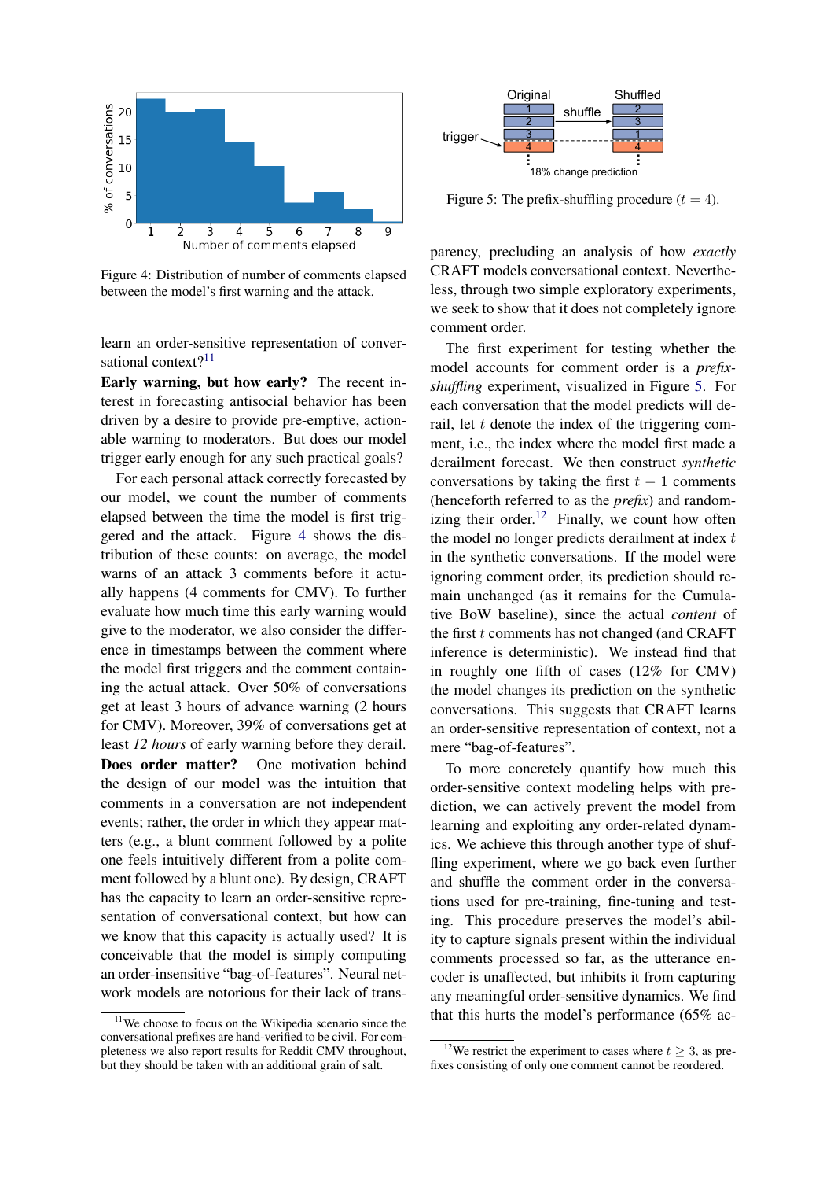<span id="page-7-1"></span>

Figure 4: Distribution of number of comments elapsed between the model's first warning and the attack.

learn an order-sensitive representation of conver-sational context?<sup>[11](#page-7-0)</sup>

Early warning, but how early? The recent interest in forecasting antisocial behavior has been driven by a desire to provide pre-emptive, actionable warning to moderators. But does our model trigger early enough for any such practical goals?

For each personal attack correctly forecasted by our model, we count the number of comments elapsed between the time the model is first triggered and the attack. Figure [4](#page-7-1) shows the distribution of these counts: on average, the model warns of an attack 3 comments before it actually happens (4 comments for CMV). To further evaluate how much time this early warning would give to the moderator, we also consider the difference in timestamps between the comment where the model first triggers and the comment containing the actual attack. Over 50% of conversations get at least 3 hours of advance warning (2 hours for CMV). Moreover, 39% of conversations get at least *12 hours* of early warning before they derail. Does order matter? One motivation behind the design of our model was the intuition that comments in a conversation are not independent events; rather, the order in which they appear matters (e.g., a blunt comment followed by a polite one feels intuitively different from a polite comment followed by a blunt one). By design, CRAFT has the capacity to learn an order-sensitive representation of conversational context, but how can we know that this capacity is actually used? It is conceivable that the model is simply computing an order-insensitive "bag-of-features". Neural network models are notorious for their lack of trans-

<span id="page-7-2"></span>

Figure 5: The prefix-shuffling procedure  $(t = 4)$ .

parency, precluding an analysis of how *exactly* CRAFT models conversational context. Nevertheless, through two simple exploratory experiments, we seek to show that it does not completely ignore comment order.

The first experiment for testing whether the model accounts for comment order is a *prefixshuffling* experiment, visualized in Figure [5.](#page-7-2) For each conversation that the model predicts will derail, let  $t$  denote the index of the triggering comment, i.e., the index where the model first made a derailment forecast. We then construct *synthetic* conversations by taking the first  $t - 1$  comments (henceforth referred to as the *prefix*) and random-izing their order.<sup>[12](#page-7-3)</sup> Finally, we count how often the model no longer predicts derailment at index  $t$ in the synthetic conversations. If the model were ignoring comment order, its prediction should remain unchanged (as it remains for the Cumulative BoW baseline), since the actual *content* of the first  $t$  comments has not changed (and CRAFT inference is deterministic). We instead find that in roughly one fifth of cases (12% for CMV) the model changes its prediction on the synthetic conversations. This suggests that CRAFT learns an order-sensitive representation of context, not a mere "bag-of-features".

To more concretely quantify how much this order-sensitive context modeling helps with prediction, we can actively prevent the model from learning and exploiting any order-related dynamics. We achieve this through another type of shuffling experiment, where we go back even further and shuffle the comment order in the conversations used for pre-training, fine-tuning and testing. This procedure preserves the model's ability to capture signals present within the individual comments processed so far, as the utterance encoder is unaffected, but inhibits it from capturing any meaningful order-sensitive dynamics. We find that this hurts the model's performance (65% ac-

<span id="page-7-0"></span><sup>&</sup>lt;sup>11</sup>We choose to focus on the Wikipedia scenario since the conversational prefixes are hand-verified to be civil. For completeness we also report results for Reddit CMV throughout, but they should be taken with an additional grain of salt.

<span id="page-7-3"></span><sup>&</sup>lt;sup>12</sup>We restrict the experiment to cases where  $t > 3$ , as prefixes consisting of only one comment cannot be reordered.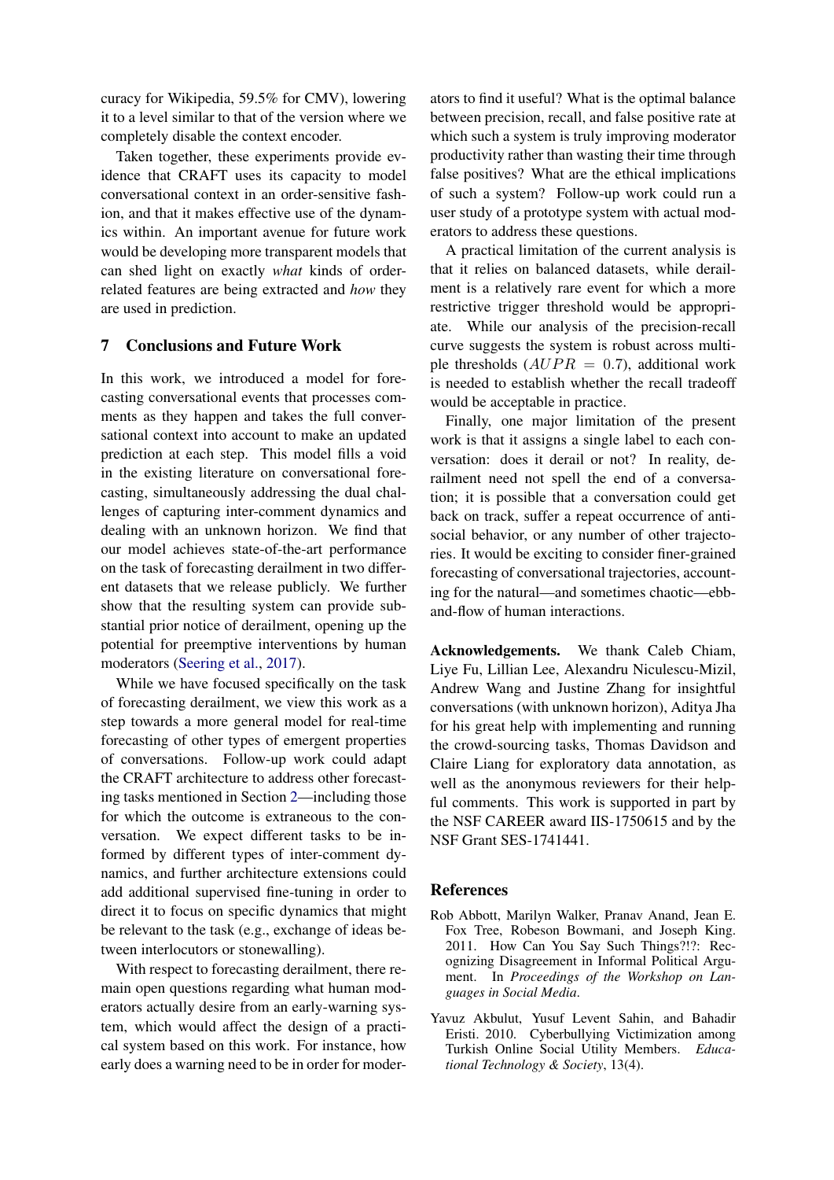curacy for Wikipedia, 59.5% for CMV), lowering it to a level similar to that of the version where we completely disable the context encoder.

Taken together, these experiments provide evidence that CRAFT uses its capacity to model conversational context in an order-sensitive fashion, and that it makes effective use of the dynamics within. An important avenue for future work would be developing more transparent models that can shed light on exactly *what* kinds of orderrelated features are being extracted and *how* they are used in prediction.

## 7 Conclusions and Future Work

In this work, we introduced a model for forecasting conversational events that processes comments as they happen and takes the full conversational context into account to make an updated prediction at each step. This model fills a void in the existing literature on conversational forecasting, simultaneously addressing the dual challenges of capturing inter-comment dynamics and dealing with an unknown horizon. We find that our model achieves state-of-the-art performance on the task of forecasting derailment in two different datasets that we release publicly. We further show that the resulting system can provide substantial prior notice of derailment, opening up the potential for preemptive interventions by human moderators [\(Seering et al.,](#page-10-25) [2017\)](#page-10-25).

While we have focused specifically on the task of forecasting derailment, we view this work as a step towards a more general model for real-time forecasting of other types of emergent properties of conversations. Follow-up work could adapt the CRAFT architecture to address other forecasting tasks mentioned in Section [2—](#page-2-0)including those for which the outcome is extraneous to the conversation. We expect different tasks to be informed by different types of inter-comment dynamics, and further architecture extensions could add additional supervised fine-tuning in order to direct it to focus on specific dynamics that might be relevant to the task (e.g., exchange of ideas between interlocutors or stonewalling).

With respect to forecasting derailment, there remain open questions regarding what human moderators actually desire from an early-warning system, which would affect the design of a practical system based on this work. For instance, how early does a warning need to be in order for moder-

ators to find it useful? What is the optimal balance between precision, recall, and false positive rate at which such a system is truly improving moderator productivity rather than wasting their time through false positives? What are the ethical implications of such a system? Follow-up work could run a user study of a prototype system with actual moderators to address these questions.

A practical limitation of the current analysis is that it relies on balanced datasets, while derailment is a relatively rare event for which a more restrictive trigger threshold would be appropriate. While our analysis of the precision-recall curve suggests the system is robust across multiple thresholds  $(AUPR = 0.7)$ , additional work is needed to establish whether the recall tradeoff would be acceptable in practice.

Finally, one major limitation of the present work is that it assigns a single label to each conversation: does it derail or not? In reality, derailment need not spell the end of a conversation; it is possible that a conversation could get back on track, suffer a repeat occurrence of antisocial behavior, or any number of other trajectories. It would be exciting to consider finer-grained forecasting of conversational trajectories, accounting for the natural—and sometimes chaotic—ebband-flow of human interactions.

Acknowledgements. We thank Caleb Chiam, Liye Fu, Lillian Lee, Alexandru Niculescu-Mizil, Andrew Wang and Justine Zhang for insightful conversations (with unknown horizon), Aditya Jha for his great help with implementing and running the crowd-sourcing tasks, Thomas Davidson and Claire Liang for exploratory data annotation, as well as the anonymous reviewers for their helpful comments. This work is supported in part by the NSF CAREER award IIS-1750615 and by the NSF Grant SES-1741441.

#### **References**

- <span id="page-8-1"></span>Rob Abbott, Marilyn Walker, Pranav Anand, Jean E. Fox Tree, Robeson Bowmani, and Joseph King. 2011. How Can You Say Such Things?!?: Recognizing Disagreement in Informal Political Argument. In *Proceedings of the Workshop on Languages in Social Media*.
- <span id="page-8-0"></span>Yavuz Akbulut, Yusuf Levent Sahin, and Bahadir Eristi. 2010. Cyberbullying Victimization among Turkish Online Social Utility Members. *Educational Technology & Society*, 13(4).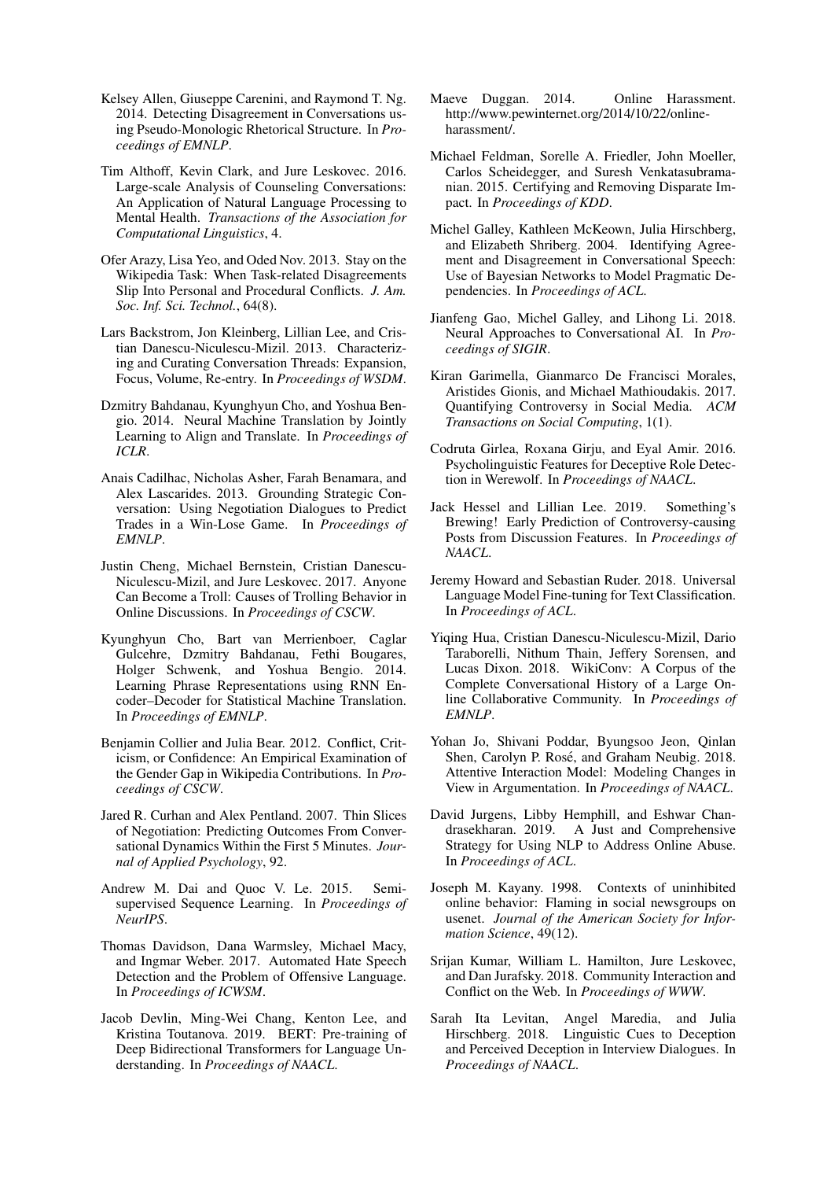- <span id="page-9-19"></span>Kelsey Allen, Giuseppe Carenini, and Raymond T. Ng. 2014. Detecting Disagreement in Conversations using Pseudo-Monologic Rhetorical Structure. In *Proceedings of EMNLP*.
- <span id="page-9-4"></span>Tim Althoff, Kevin Clark, and Jure Leskovec. 2016. Large-scale Analysis of Counseling Conversations: An Application of Natural Language Processing to Mental Health. *Transactions of the Association for Computational Linguistics*, 4.
- <span id="page-9-12"></span>Ofer Arazy, Lisa Yeo, and Oded Nov. 2013. Stay on the Wikipedia Task: When Task-related Disagreements Slip Into Personal and Procedural Conflicts. *J. Am. Soc. Inf. Sci. Technol.*, 64(8).
- <span id="page-9-3"></span>Lars Backstrom, Jon Kleinberg, Lillian Lee, and Cristian Danescu-Niculescu-Mizil. 2013. Characterizing and Curating Conversation Threads: Expansion, Focus, Volume, Re-entry. In *Proceedings of WSDM*.
- <span id="page-9-26"></span>Dzmitry Bahdanau, Kyunghyun Cho, and Yoshua Bengio. 2014. Neural Machine Translation by Jointly Learning to Align and Translate. In *Proceedings of ICLR*.
- <span id="page-9-15"></span>Anais Cadilhac, Nicholas Asher, Farah Benamara, and Alex Lascarides. 2013. Grounding Strategic Conversation: Using Negotiation Dialogues to Predict Trades in a Win-Lose Game. In *Proceedings of EMNLP*.
- <span id="page-9-13"></span>Justin Cheng, Michael Bernstein, Cristian Danescu-Niculescu-Mizil, and Jure Leskovec. 2017. Anyone Can Become a Troll: Causes of Trolling Behavior in Online Discussions. In *Proceedings of CSCW*.
- <span id="page-9-25"></span>Kyunghyun Cho, Bart van Merrienboer, Caglar Gulcehre, Dzmitry Bahdanau, Fethi Bougares, Holger Schwenk, and Yoshua Bengio. 2014. Learning Phrase Representations using RNN Encoder–Decoder for Statistical Machine Translation. In *Proceedings of EMNLP*.
- <span id="page-9-11"></span>Benjamin Collier and Julia Bear. 2012. Conflict, Criticism, or Confidence: An Empirical Examination of the Gender Gap in Wikipedia Contributions. In *Proceedings of CSCW*.
- <span id="page-9-7"></span>Jared R. Curhan and Alex Pentland. 2007. Thin Slices of Negotiation: Predicting Outcomes From Conversational Dynamics Within the First 5 Minutes. *Journal of Applied Psychology*, 92.
- <span id="page-9-22"></span>Andrew M. Dai and Quoc V. Le. 2015. Semisupervised Sequence Learning. In *Proceedings of NeurIPS*.
- <span id="page-9-1"></span>Thomas Davidson, Dana Warmsley, Michael Macy, and Ingmar Weber. 2017. Automated Hate Speech Detection and the Problem of Offensive Language. In *Proceedings of ICWSM*.
- <span id="page-9-23"></span>Jacob Devlin, Ming-Wei Chang, Kenton Lee, and Kristina Toutanova. 2019. BERT: Pre-training of Deep Bidirectional Transformers for Language Understanding. In *Proceedings of NAACL*.
- <span id="page-9-0"></span>Maeve Duggan. 2014. Online Harassment. http://www.pewinternet.org/2014/10/22/onlineharassment/.
- <span id="page-9-9"></span>Michael Feldman, Sorelle A. Friedler, John Moeller, Carlos Scheidegger, and Suresh Venkatasubramanian. 2015. Certifying and Removing Disparate Impact. In *Proceedings of KDD*.
- <span id="page-9-18"></span>Michel Galley, Kathleen McKeown, Julia Hirschberg, and Elizabeth Shriberg. 2004. Identifying Agreement and Disagreement in Conversational Speech: Use of Bayesian Networks to Model Pragmatic Dependencies. In *Proceedings of ACL*.
- <span id="page-9-8"></span>Jianfeng Gao, Michel Galley, and Lihong Li. 2018. Neural Approaches to Conversational AI. In *Proceedings of SIGIR*.
- <span id="page-9-20"></span>Kiran Garimella, Gianmarco De Francisci Morales, Aristides Gionis, and Michael Mathioudakis. 2017. Quantifying Controversy in Social Media. *ACM Transactions on Social Computing*, 1(1).
- <span id="page-9-16"></span>Codruta Girlea, Roxana Girju, and Eyal Amir. 2016. Psycholinguistic Features for Deceptive Role Detection in Werewolf. In *Proceedings of NAACL*.
- <span id="page-9-5"></span>Jack Hessel and Lillian Lee. 2019. Something's Brewing! Early Prediction of Controversy-causing Posts from Discussion Features. In *Proceedings of NAACL*.
- <span id="page-9-21"></span>Jeremy Howard and Sebastian Ruder. 2018. Universal Language Model Fine-tuning for Text Classification. In *Proceedings of ACL*.
- <span id="page-9-24"></span>Yiqing Hua, Cristian Danescu-Niculescu-Mizil, Dario Taraborelli, Nithum Thain, Jeffery Sorensen, and Lucas Dixon. 2018. WikiConv: A Corpus of the Complete Conversational History of a Large Online Collaborative Community. In *Proceedings of EMNLP*.
- <span id="page-9-6"></span>Yohan Jo, Shivani Poddar, Byungsoo Jeon, Qinlan Shen, Carolyn P. Rosé, and Graham Neubig. 2018. Attentive Interaction Model: Modeling Changes in View in Argumentation. In *Proceedings of NAACL*.
- <span id="page-9-2"></span>David Jurgens, Libby Hemphill, and Eshwar Chandrasekharan. 2019. A Just and Comprehensive Strategy for Using NLP to Address Online Abuse. In *Proceedings of ACL*.
- <span id="page-9-10"></span>Joseph M. Kayany. 1998. Contexts of uninhibited online behavior: Flaming in social newsgroups on usenet. *Journal of the American Society for Information Science*, 49(12).
- <span id="page-9-14"></span>Srijan Kumar, William L. Hamilton, Jure Leskovec, and Dan Jurafsky. 2018. Community Interaction and Conflict on the Web. In *Proceedings of WWW*.
- <span id="page-9-17"></span>Sarah Ita Levitan, Angel Maredia, and Julia Hirschberg. 2018. Linguistic Cues to Deception and Perceived Deception in Interview Dialogues. In *Proceedings of NAACL*.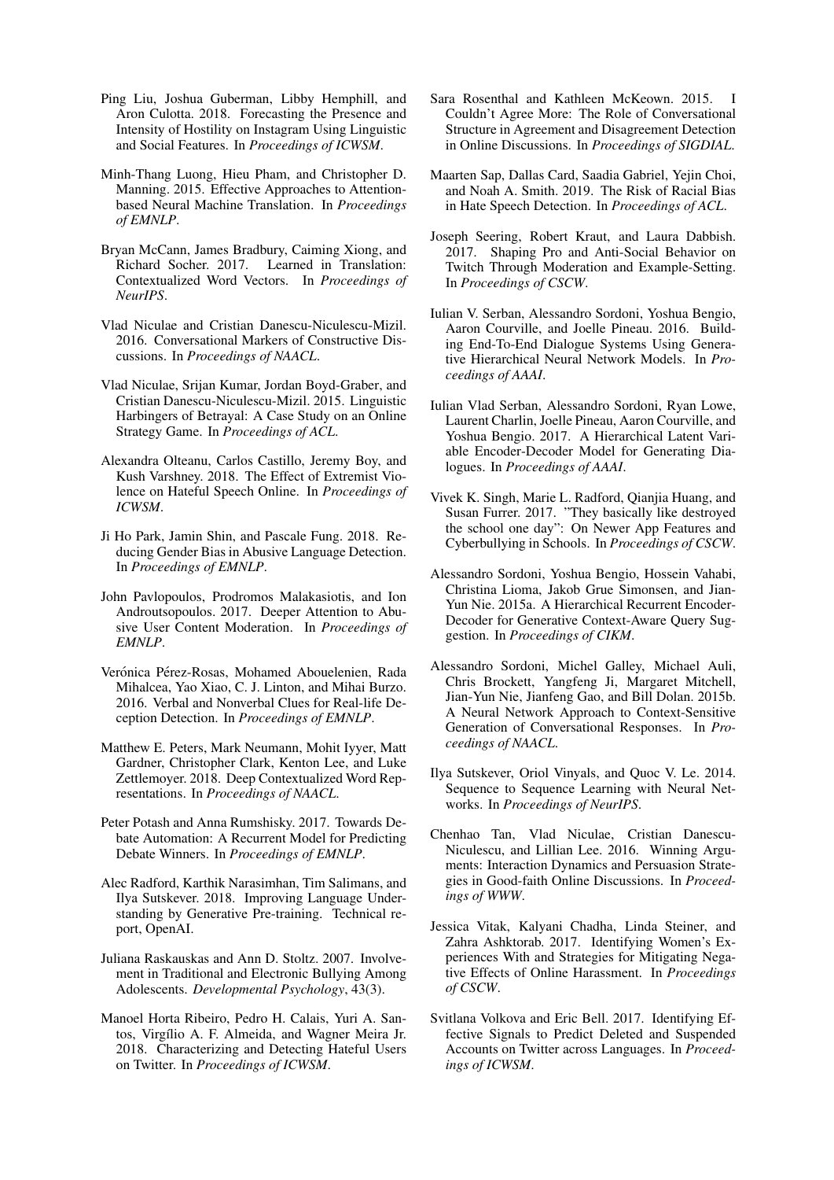- <span id="page-10-2"></span>Ping Liu, Joshua Guberman, Libby Hemphill, and Aron Culotta. 2018. Forecasting the Presence and Intensity of Hostility on Instagram Using Linguistic and Social Features. In *Proceedings of ICWSM*.
- <span id="page-10-24"></span>Minh-Thang Luong, Hieu Pham, and Christopher D. Manning. 2015. Effective Approaches to Attentionbased Neural Machine Translation. In *Proceedings of EMNLP*.
- <span id="page-10-21"></span>Bryan McCann, James Bradbury, Caiming Xiong, and Richard Socher. 2017. Learned in Translation: Contextualized Word Vectors. In *Proceedings of NeurIPS*.
- <span id="page-10-4"></span>Vlad Niculae and Cristian Danescu-Niculescu-Mizil. 2016. Conversational Markers of Constructive Discussions. In *Proceedings of NAACL*.
- <span id="page-10-5"></span>Vlad Niculae, Srijan Kumar, Jordan Boyd-Graber, and Cristian Danescu-Niculescu-Mizil. 2015. Linguistic Harbingers of Betrayal: A Case Study on an Online Strategy Game. In *Proceedings of ACL*.
- <span id="page-10-15"></span>Alexandra Olteanu, Carlos Castillo, Jeremy Boy, and Kush Varshney. 2018. The Effect of Extremist Violence on Hateful Speech Online. In *Proceedings of ICWSM*.
- <span id="page-10-9"></span>Ji Ho Park, Jamin Shin, and Pascale Fung. 2018. Reducing Gender Bias in Abusive Language Detection. In *Proceedings of EMNLP*.
- <span id="page-10-1"></span>John Pavlopoulos, Prodromos Malakasiotis, and Ion Androutsopoulos. 2017. Deeper Attention to Abusive User Content Moderation. In *Proceedings of EMNLP*.
- <span id="page-10-17"></span>Verónica Pérez-Rosas, Mohamed Abouelenien, Rada Mihalcea, Yao Xiao, C. J. Linton, and Mihai Burzo. 2016. Verbal and Nonverbal Clues for Real-life Deception Detection. In *Proceedings of EMNLP*.
- <span id="page-10-19"></span>Matthew E. Peters, Mark Neumann, Mohit Iyyer, Matt Gardner, Christopher Clark, Kenton Lee, and Luke Zettlemoyer. 2018. Deep Contextualized Word Representations. In *Proceedings of NAACL*.
- <span id="page-10-16"></span>Peter Potash and Anna Rumshisky. 2017. Towards Debate Automation: A Recurrent Model for Predicting Debate Winners. In *Proceedings of EMNLP*.
- <span id="page-10-20"></span>Alec Radford, Karthik Narasimhan, Tim Salimans, and Ilya Sutskever. 2018. Improving Language Understanding by Generative Pre-training. Technical report, OpenAI.
- <span id="page-10-0"></span>Juliana Raskauskas and Ann D. Stoltz. 2007. Involvement in Traditional and Electronic Bullying Among Adolescents. *Developmental Psychology*, 43(3).
- <span id="page-10-14"></span>Manoel Horta Ribeiro, Pedro H. Calais, Yuri A. Santos, Virgílio A. F. Almeida, and Wagner Meira Jr. 2018. Characterizing and Detecting Hateful Users on Twitter. In *Proceedings of ICWSM*.
- <span id="page-10-18"></span>Sara Rosenthal and Kathleen McKeown. 2015. I Couldn't Agree More: The Role of Conversational Structure in Agreement and Disagreement Detection in Online Discussions. In *Proceedings of SIGDIAL*.
- <span id="page-10-10"></span>Maarten Sap, Dallas Card, Saadia Gabriel, Yejin Choi, and Noah A. Smith. 2019. The Risk of Racial Bias in Hate Speech Detection. In *Proceedings of ACL*.
- <span id="page-10-25"></span>Joseph Seering, Robert Kraut, and Laura Dabbish. 2017. Shaping Pro and Anti-Social Behavior on Twitch Through Moderation and Example-Setting. In *Proceedings of CSCW*.
- <span id="page-10-7"></span>Iulian V. Serban, Alessandro Sordoni, Yoshua Bengio, Aaron Courville, and Joelle Pineau. 2016. Building End-To-End Dialogue Systems Using Generative Hierarchical Neural Network Models. In *Proceedings of AAAI*.
- <span id="page-10-8"></span>Iulian Vlad Serban, Alessandro Sordoni, Ryan Lowe, Laurent Charlin, Joelle Pineau, Aaron Courville, and Yoshua Bengio. 2017. A Hierarchical Latent Variable Encoder-Decoder Model for Generating Dialogues. In *Proceedings of AAAI*.
- <span id="page-10-12"></span>Vivek K. Singh, Marie L. Radford, Qianjia Huang, and Susan Furrer. 2017. "They basically like destroyed the school one day": On Newer App Features and Cyberbullying in Schools. In *Proceedings of CSCW*.
- <span id="page-10-22"></span>Alessandro Sordoni, Yoshua Bengio, Hossein Vahabi, Christina Lioma, Jakob Grue Simonsen, and Jian-Yun Nie. 2015a. A Hierarchical Recurrent Encoder-Decoder for Generative Context-Aware Query Suggestion. In *Proceedings of CIKM*.
- <span id="page-10-6"></span>Alessandro Sordoni, Michel Galley, Michael Auli, Chris Brockett, Yangfeng Ji, Margaret Mitchell, Jian-Yun Nie, Jianfeng Gao, and Bill Dolan. 2015b. A Neural Network Approach to Context-Sensitive Generation of Conversational Responses. In *Proceedings of NAACL*.
- <span id="page-10-23"></span>Ilya Sutskever, Oriol Vinyals, and Quoc V. Le. 2014. Sequence to Sequence Learning with Neural Networks. In *Proceedings of NeurIPS*.
- <span id="page-10-3"></span>Chenhao Tan, Vlad Niculae, Cristian Danescu-Niculescu, and Lillian Lee. 2016. Winning Arguments: Interaction Dynamics and Persuasion Strategies in Good-faith Online Discussions. In *Proceedings of WWW*.
- <span id="page-10-11"></span>Jessica Vitak, Kalyani Chadha, Linda Steiner, and Zahra Ashktorab. 2017. Identifying Women's Experiences With and Strategies for Mitigating Negative Effects of Online Harassment. In *Proceedings of CSCW*.
- <span id="page-10-13"></span>Svitlana Volkova and Eric Bell. 2017. Identifying Effective Signals to Predict Deleted and Suspended Accounts on Twitter across Languages. In *Proceedings of ICWSM*.